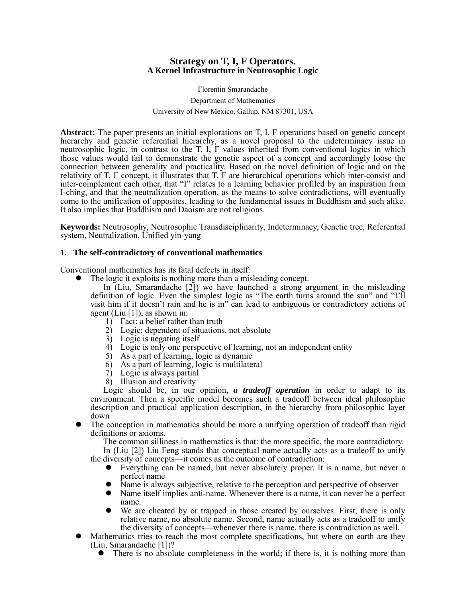# **Strategy on T, I, F Operators. A Kernel Infrastructure in Neutrosophic Logic**

Florentin Smarandache Department of Mathematics University of New Mexico, Gallup, NM 87301, USA

**Abstract:** The paper presents an initial explorations on T, I, F operations based on genetic concept hierarchy and genetic referential hierarchy, as a novel proposal to the indeterminacy issue in neutrosophic logic, in contrast to the T, I, F values inherited from conventional logics in which those values would fail to demonstrate the genetic aspect of a concept and accordingly loose the connection between generality and practicality. Based on the novel definition of logic and on the relativity of T, F concept, it illustrates that T, F are hierarchical operations which inter-consist and inter-complement each other, that "I" relates to a learning behavior profiled by an inspiration from I-ching, and that the neutralization operation, as the means to solve contradictions, will eventually come to the unification of opposites, leading to the fundamental issues in Buddhism and such alike. It also implies that Buddhism and Daoism are not religions.

**Keywords:** Neutrosophy, Neutrosophic Transdisciplinarity, Indeterminacy, Genetic tree, Referential system, Neutralization, Unified yin-yang

### **1. The self-contradictory of conventional mathematics**

Conventional mathematics has its fatal defects in itself:

The logic it exploits is nothing more than a misleading concept.

In (Liu, Smarandache [2]) we have launched a strong argument in the misleading definition of logic. Even the simplest logic as "The earth turns around the sun" and "I'll visit him if it doesn't rain and he is in" can lead to ambiguous or contradictory actions of agent (Liu [1]), as shown in:

- 1) Fact: a belief rather than truth
- 2) Logic: dependent of situations, not absolute
- 3) Logic is negating itself
- 4) Logic is only one perspective of learning, not an independent entity
- 5) As a part of learning, logic is dynamic
- 6) As a part of learning, logic is multilateral
- 7) Logic is always partial
- 8) Illusion and creativity

Logic should be, in our opinion, *a tradeoff operation* in order to adapt to its environment. Then a specific model becomes such a tradeoff between ideal philosophic description and practical application description, in the hierarchy from philosophic layer down

The conception in mathematics should be more a unifying operation of tradeoff than rigid definitions or axioms.

The common silliness in mathematics is that: the more specific, the more contradictory. In (Liu [2]) Liu Feng stands that conceptual name actually acts as a tradeoff to unify

the diversity of concepts—it comes as the outcome of contradiction:

- $\bullet$  Everything can be named, but never absolutely proper. It is a name, but never a perfect name
- Name is always subjective, relative to the perception and perspective of observer
- Name itself implies anti-name. Whenever there is a name, it can never be a perfect name.
- We are cheated by or trapped in those created by ourselves. First, there is only relative name, no absolute name. Second, name actually acts as a tradeoff to unify the diversity of concepts—whenever there is name, there is contradiction as well.
- Mathematics tries to reach the most complete specifications, but where on earth are they (Liu, Smarandache [1])?
	- $\bullet$  There is no absolute completeness in the world; if there is, it is nothing more than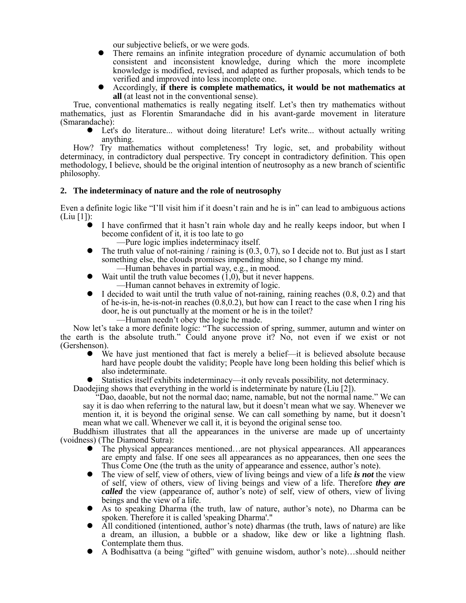our subjective beliefs, or we were gods.

- There remains an infinite integration procedure of dynamic accumulation of both consistent and inconsistent knowledge, during which the more incomplete knowledge is modified, revised, and adapted as further proposals, which tends to be verified and improved into less incomplete one.
- z Accordingly, **if there is complete mathematics, it would be not mathematics at all** (at least not in the conventional sense).

True, conventional mathematics is really negating itself. Let's then try mathematics without mathematics, just as Florentin Smarandache did in his avant-garde movement in literature (Smarandache):

• Let's do literature... without doing literature! Let's write... without actually writing anything.

How? Try mathematics without completeness! Try logic, set, and probability without determinacy, in contradictory dual perspective. Try concept in contradictory definition. This open methodology, I believe, should be the original intention of neutrosophy as a new branch of scientific philosophy.

# **2. The indeterminacy of nature and the role of neutrosophy**

Even a definite logic like "I'll visit him if it doesn't rain and he is in" can lead to ambiguous actions (Liu [1]):

- I have confirmed that it hasn't rain whole day and he really keeps indoor, but when I become confident of it, it is too late to go —Pure logic implies indeterminacy itself.
- The truth value of not-raining / raining is  $(0.3, 0.7)$ , so I decide not to. But just as I start something else, the clouds promises impending shine, so I change my mind. —Human behaves in partial way, e.g., in mood.
- Wait until the truth value becomes  $(1,0)$ , but it never happens.
- —Human cannot behaves in extremity of logic. I decided to wait until the truth value of not-raining, raining reaches  $(0.8, 0.2)$  and that
	- of he-is-in, he-is-not-in reaches  $(0.8,0.2)$ , but how can I react to the case when I ring his door, he is out punctually at the moment or he is in the toilet?
		- —Human needn't obey the logic he made.

Now let's take a more definite logic: "The succession of spring, summer, autumn and winter on the earth is the absolute truth." Could anyone prove it? No, not even if we exist or not (Gershenson).

 $\bullet$  We have just mentioned that fact is merely a belief—it is believed absolute because hard have people doubt the validity; People have long been holding this belief which is also indeterminate.

z Statistics itself exhibits indeterminacy—it only reveals possibility, not determinacy.

Daodejing shows that everything in the world is indeterminate by nature (Liu [2]).

"Dao, daoable, but not the normal dao; name, namable, but not the normal name." We can say it is dao when referring to the natural law, but it doesn't mean what we say. Whenever we mention it, it is beyond the original sense. We can call something by name, but it doesn't mean what we call. Whenever we call it, it is beyond the original sense too.

Buddhism illustrates that all the appearances in the universe are made up of uncertainty (voidness) (The Diamond Sutra):

- The physical appearances mentioned…are not physical appearances. All appearances are empty and false. If one sees all appearances as no appearances, then one sees the Thus Come One (the truth as the unity of appearance and essence, author's note).
- z The view of self, view of others, view of living beings and view of a life *is not* the view of self, view of others, view of living beings and view of a life. Therefore *they are called* the view (appearance of, author's note) of self, view of others, view of living beings and the view of a life.
- As to speaking Dharma (the truth, law of nature, author's note), no Dharma can be spoken. Therefore it is called 'speaking Dharma'."
- All conditioned (intentioned, author's note) dharmas (the truth, laws of nature) are like a dream, an illusion, a bubble or a shadow, like dew or like a lightning flash. Contemplate them thus.
- z A Bodhisattva (a being "gifted" with genuine wisdom, author's note)…should neither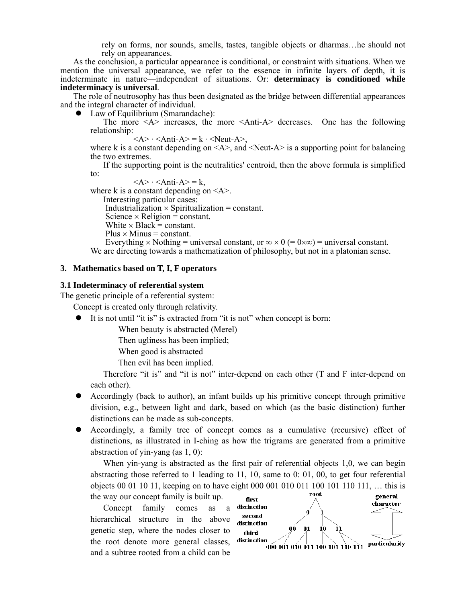rely on forms, nor sounds, smells, tastes, tangible objects or dharmas…he should not rely on appearances.

As the conclusion, a particular appearance is conditional, or constraint with situations. When we mention the universal appearance, we refer to the essence in infinite layers of depth, it is indeterminate in nature—independent of situations. Or: **determinacy is conditioned while indeterminacy is universal**.

The role of neutrosophy has thus been designated as the bridge between differential appearances and the integral character of individual.

Law of Equilibrium (Smarandache):

The more <A> increases, the more <Anti-A> decreases. One has the following relationship:

 $\langle A \rangle \cdot \langle A$ nti-A $\rangle = k \cdot \langle Neut-A \rangle$ ,

where k is a constant depending on  $\langle A \rangle$ , and  $\langle Neut-A \rangle$  is a supporting point for balancing the two extremes.

If the supporting point is the neutralities' centroid, then the above formula is simplified to:

 $\langle A \rangle \cdot \langle \text{Anti-A} \rangle = k$ ,

where k is a constant depending on  $\leq A \geq$ .

Interesting particular cases:

Industrialization  $\times$  Spiritualization = constant.

Science  $\times$  Religion = constant.

White  $\times$  Black = constant.

Plus  $\times$  Minus = constant.

Everything × Nothing = universal constant, or  $\infty \times 0$  (= 0× $\infty$ ) = universal constant. We are directing towards a mathematization of philosophy, but not in a platonian sense.

## **3. Mathematics based on T, I, F operators**

#### **3.1 Indeterminacy of referential system**

The genetic principle of a referential system:

Concept is created only through relativity.

z It is not until "it is" is extracted from "it is not" when concept is born:

When beauty is abstracted (Merel)

Then ugliness has been implied;

When good is abstracted

Then evil has been implied.

Therefore "it is" and "it is not" inter-depend on each other (T and F inter-depend on each other).

- z Accordingly (back to author), an infant builds up his primitive concept through primitive division, e.g., between light and dark, based on which (as the basic distinction) further distinctions can be made as sub-concepts.
- z Accordingly, a family tree of concept comes as a cumulative (recursive) effect of distinctions, as illustrated in I-ching as how the trigrams are generated from a primitive abstraction of yin-yang (as 1, 0):

When yin-yang is abstracted as the first pair of referential objects 1,0, we can begin abstracting those referred to 1 leading to 11, 10, same to 0: 01, 00, to get four referential objects 00 01 10 11, keeping on to have eight 000 001 010 011 100 101 110 111, … this is root the way our concept family is built up.

Concept family comes as a hierarchical structure in the above genetic step, where the nodes closer to the root denote more general classes, and a subtree rooted from a child can be

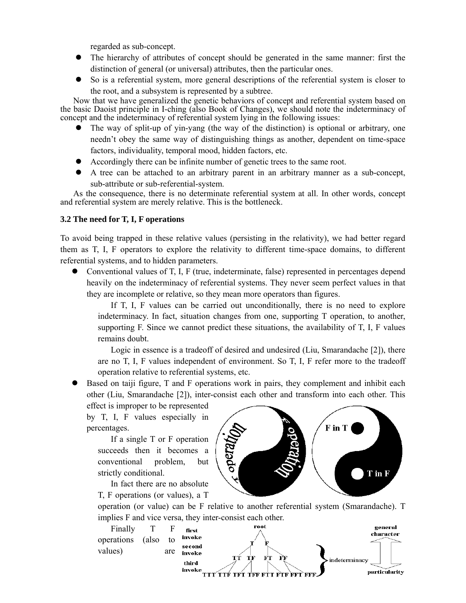regarded as sub-concept.

- The hierarchy of attributes of concept should be generated in the same manner: first the distinction of general (or universal) attributes, then the particular ones.
- So is a referential system, more general descriptions of the referential system is closer to the root, and a subsystem is represented by a subtree.

Now that we have generalized the genetic behaviors of concept and referential system based on the basic Daoist principle in I-ching (also Book of Changes), we should note the indeterminacy of concept and the indeterminacy of referential system lying in the following issues:

- The way of split-up of yin-yang (the way of the distinction) is optional or arbitrary, one needn't obey the same way of distinguishing things as another, dependent on time-space factors, individuality, temporal mood, hidden factors, etc.
- Accordingly there can be infinite number of genetic trees to the same root.
- A tree can be attached to an arbitrary parent in an arbitrary manner as a sub-concept, sub-attribute or sub-referential-system.

As the consequence, there is no determinate referential system at all. In other words, concept and referential system are merely relative. This is the bottleneck.

# **3.2 The need for T, I, F operations**

To avoid being trapped in these relative values (persisting in the relativity), we had better regard them as T, I, F operators to explore the relativity to different time-space domains, to different referential systems, and to hidden parameters.

z Conventional values of T, I, F (true, indeterminate, false) represented in percentages depend heavily on the indeterminacy of referential systems. They never seem perfect values in that they are incomplete or relative, so they mean more operators than figures.

If T, I, F values can be carried out unconditionally, there is no need to explore indeterminacy. In fact, situation changes from one, supporting T operation, to another, supporting F. Since we cannot predict these situations, the availability of T, I, F values remains doubt.

Logic in essence is a tradeoff of desired and undesired (Liu, Smarandache [2]), there are no T, I, F values independent of environment. So T, I, F refer more to the tradeoff operation relative to referential systems, etc.

Based on taiji figure, T and F operations work in pairs, they complement and inhibit each other (Liu, Smarandache [2]), inter-consist each other and transform into each other. This

effect is improper to be represented by T, I, F values especially in percentages.

If a single T or F operation succeeds then it becomes a conventional problem, but strictly conditional.

In fact there are no absolute

T, F operations (or values), a T



operation (or value) can be F relative to another referential system (Smarandache). T implies F and vice versa, they inter-consist each other.

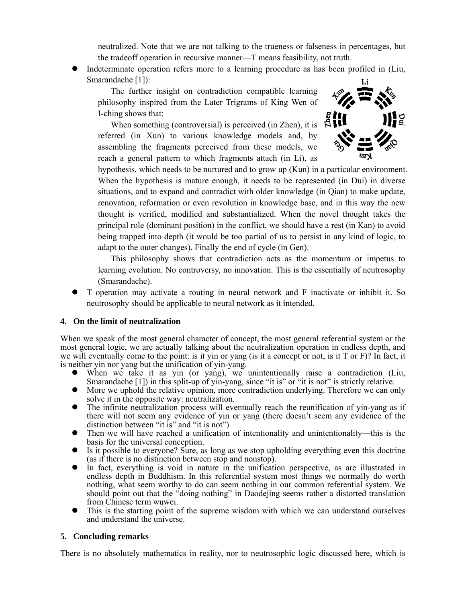neutralized. Note that we are not talking to the trueness or falseness in percentages, but the tradeoff operation in recursive manner—T means feasibility, not truth.

Indeterminate operation refers more to a learning procedure as has been profiled in (Liu, Smarandache [1]):

The further insight on contradiction compatible learning philosophy inspired from the Later Trigrams of King Wen of I-ching shows that:

When something (controversial) is perceived (in Zhen), it is referred (in Xun) to various knowledge models and, by assembling the fragments perceived from these models, we reach a general pattern to which fragments attach (in Li), as



hypothesis, which needs to be nurtured and to grow up (Kun) in a particular environment. When the hypothesis is mature enough, it needs to be represented (in Dui) in diverse situations, and to expand and contradict with older knowledge (in Qian) to make update, renovation, reformation or even revolution in knowledge base, and in this way the new thought is verified, modified and substantialized. When the novel thought takes the principal role (dominant position) in the conflict, we should have a rest (in Kan) to avoid being trapped into depth (it would be too partial of us to persist in any kind of logic, to adapt to the outer changes). Finally the end of cycle (in Gen).

This philosophy shows that contradiction acts as the momentum or impetus to learning evolution. No controversy, no innovation. This is the essentially of neutrosophy (Smarandache).

z T operation may activate a routing in neural network and F inactivate or inhibit it. So neutrosophy should be applicable to neural network as it intended.

# **4. On the limit of neutralization**

When we speak of the most general character of concept, the most general referential system or the most general logic, we are actually talking about the neutralization operation in endless depth, and we will eventually come to the point: is it yin or yang (is it a concept or not, is it T or F)? In fact, it is neither yin nor yang but the unification of yin-yang.

- When we take it as yin (or yang), we unintentionally raise a contradiction (Liu, Smarandache [1]) in this split-up of yin-yang, since "it is" or "it is not" is strictly relative.
- $\bullet$  More we uphold the relative opinion, more contradiction underlying. Therefore we can only solve it in the opposite way: neutralization.
- $\bullet$  The infinite neutralization process will eventually reach the reunification of yin-yang as if there will not seem any evidence of yin or yang (there doesn't seem any evidence of the distinction between "it is" and "it is not")
- Then we will have reached a unification of intentionality and unintentionality—this is the basis for the universal conception.
- Is it possible to everyone? Sure, as long as we stop upholding everything even this doctrine (as if there is no distinction between stop and nonstop).
- $\bullet$  In fact, everything is void in nature in the unification perspective, as are illustrated in endless depth in Buddhism. In this referential system most things we normally do worth nothing, what seem worthy to do can seem nothing in our common referential system. We should point out that the "doing nothing" in Daodejing seems rather a distorted translation from Chinese term wuwei.
- This is the starting point of the supreme wisdom with which we can understand ourselves and understand the universe.

## **5. Concluding remarks**

There is no absolutely mathematics in reality, nor to neutrosophic logic discussed here, which is